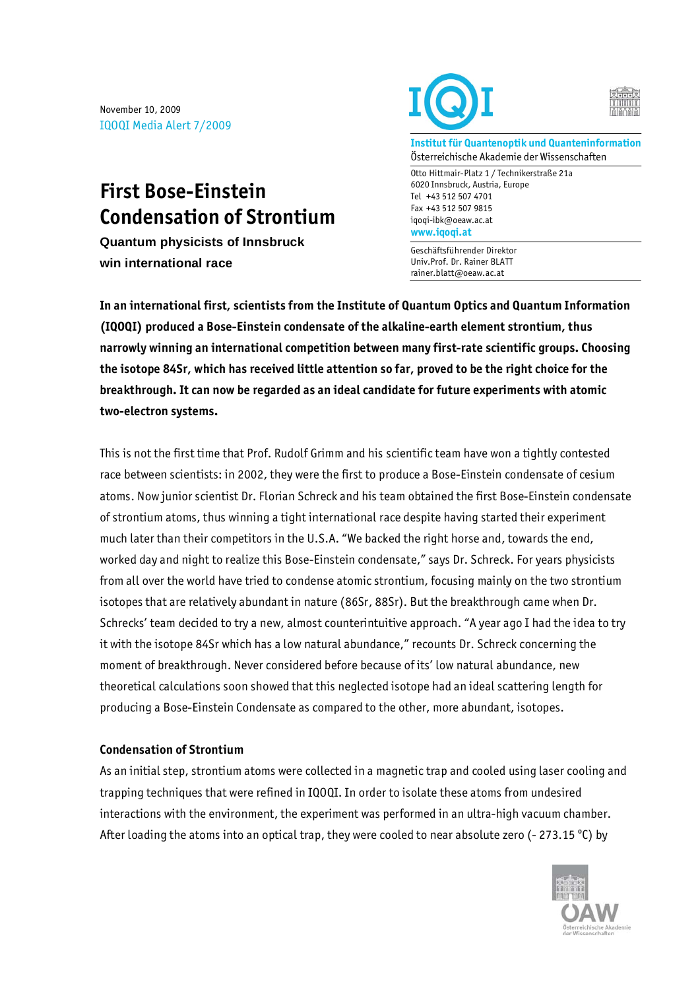November 10, 2009 IQOQI Media Alert 7/2009

## **First Bose-Einstein Condensation of Strontium**

**Quantum physicists of Innsbruck win international race** 





**Institut für Quantenoptik und Quanteninformation**  Österreichische Akademie der Wissenschaften

Otto Hittmair-Platz 1 / Technikerstraße 21a 6020 Innsbruck, Austria, Europe Tel +43 512 507 4701 Fax +43 512 507 9815 iqoqi-ibk@oeaw.ac.at **www.iqoqi.at** 

Geschäftsführender Direktor Univ.Prof. Dr. Rainer BLATT rainer.blatt@oeaw.ac.at

**In an international first, scientists from the Institute of Quantum Optics and Quantum Information (IQOQI) produced a Bose-Einstein condensate of the alkaline-earth element strontium, thus narrowly winning an international competition between many first-rate scientific groups. Choosing the isotope 84Sr, which has received little attention so far, proved to be the right choice for the breakthrough. It can now be regarded as an ideal candidate for future experiments with atomic two-electron systems.** 

This is not the first time that Prof. Rudolf Grimm and his scientific team have won a tightly contested race between scientists: in 2002, they were the first to produce a Bose-Einstein condensate of cesium atoms. Now junior scientist Dr. Florian Schreck and his team obtained the first Bose-Einstein condensate of strontium atoms, thus winning a tight international race despite having started their experiment much later than their competitors in the U.S.A. "We backed the right horse and, towards the end, worked day and night to realize this Bose-Einstein condensate," says Dr. Schreck. For years physicists from all over the world have tried to condense atomic strontium, focusing mainly on the two strontium isotopes that are relatively abundant in nature (86Sr, 88Sr). But the breakthrough came when Dr. Schrecks' team decided to try a new, almost counterintuitive approach. "A year ago I had the idea to try it with the isotope 84Sr which has a low natural abundance," recounts Dr. Schreck concerning the moment of breakthrough. Never considered before because of its' low natural abundance, new theoretical calculations soon showed that this neglected isotope had an ideal scattering length for producing a Bose-Einstein Condensate as compared to the other, more abundant, isotopes.

## **Condensation of Strontium**

As an initial step, strontium atoms were collected in a magnetic trap and cooled using laser cooling and trapping techniques that were refined in IQOQI. In order to isolate these atoms from undesired interactions with the environment, the experiment was performed in an ultra-high vacuum chamber. After loading the atoms into an optical trap, they were cooled to near absolute zero (- 273.15 °C) by

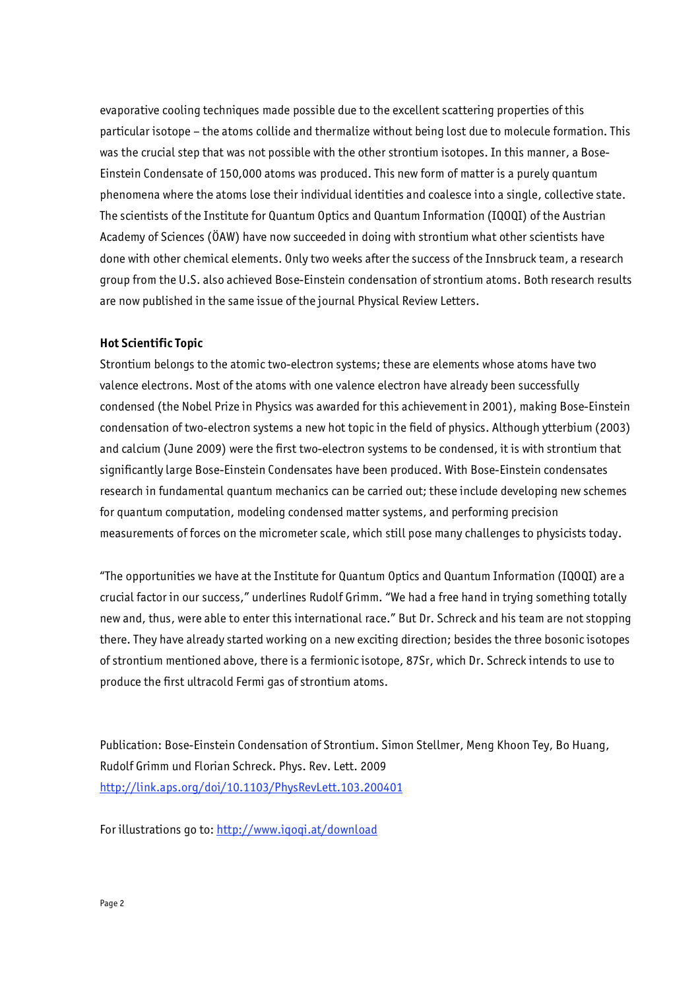evaporative cooling techniques made possible due to the excellent scattering properties of this particular isotope – the atoms collide and thermalize without being lost due to molecule formation. This was the crucial step that was not possible with the other strontium isotopes. In this manner, a Bose-Einstein Condensate of 150,000 atoms was produced. This new form of matter is a purely quantum phenomena where the atoms lose their individual identities and coalesce into a single, collective state. The scientists of the Institute for Quantum Optics and Quantum Information (IQOQI) of the Austrian Academy of Sciences (ÖAW) have now succeeded in doing with strontium what other scientists have done with other chemical elements. Only two weeks after the success of the Innsbruck team, a research group from the U.S. also achieved Bose-Einstein condensation of strontium atoms. Both research results are now published in the same issue of the journal Physical Review Letters.

## **Hot Scientific Topic**

Strontium belongs to the atomic two-electron systems; these are elements whose atoms have two valence electrons. Most of the atoms with one valence electron have already been successfully condensed (the Nobel Prize in Physics was awarded for this achievement in 2001), making Bose-Einstein condensation of two-electron systems a new hot topic in the field of physics. Although ytterbium (2003) and calcium (June 2009) were the first two-electron systems to be condensed, it is with strontium that significantly large Bose-Einstein Condensates have been produced. With Bose-Einstein condensates research in fundamental quantum mechanics can be carried out; these include developing new schemes for quantum computation, modeling condensed matter systems, and performing precision measurements of forces on the micrometer scale, which still pose many challenges to physicists today.

"The opportunities we have at the Institute for Quantum Optics and Quantum Information (IQOQI) are a crucial factor in our success," underlines Rudolf Grimm. "We had a free hand in trying something totally new and, thus, were able to enter this international race." But Dr. Schreck and his team are not stopping there. They have already started working on a new exciting direction; besides the three bosonic isotopes of strontium mentioned above, there is a fermionic isotope, 87Sr, which Dr. Schreck intends to use to produce the first ultracold Fermi gas of strontium atoms.

Publication: Bose-Einstein Condensation of Strontium. Simon Stellmer, Meng Khoon Tey, Bo Huang, Rudolf Grimm und Florian Schreck. Phys. Rev. Lett. 2009 http://link.aps.org/doi/10.1103/PhysRevLett.103.200401

For illustrations go to: http://www.iqoqi.at/download